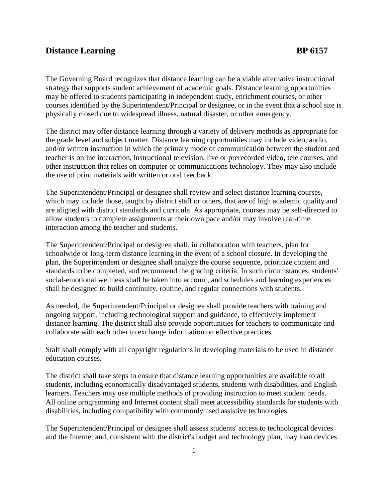## **Distance Learning BP 6157**

The Governing Board recognizes that distance learning can be a viable alternative instructional strategy that supports student achievement of academic goals. Distance learning opportunities may be offered to students participating in independent study, enrichment courses, or other courses identified by the Superintendent/Principal or designee, or in the event that a school site is physically closed due to widespread illness, natural disaster, or other emergency.

The district may offer distance learning through a variety of delivery methods as appropriate for the grade level and subject matter. Distance learning opportunities may include video, audio, and/or written instruction in which the primary mode of communication between the student and teacher is online interaction, instructional television, live or prerecorded video, tele courses, and other instruction that relies on computer or communications technology. They may also include the use of print materials with written or oral feedback.

The Superintendent/Principal or designee shall review and select distance learning courses, which may include those, taught by district staff or others, that are of high academic quality and are aligned with district standards and curricula. As appropriate, courses may be self-directed to allow students to complete assignments at their own pace and/or may involve real-time interaction among the teacher and students.

The Superintendent/Principal or designee shall, in collaboration with teachers, plan for schoolwide or long-term distance learning in the event of a school closure. In developing the plan, the Superintendent or designee shall analyze the course sequence, prioritize content and standards to be completed, and recommend the grading criteria. In such circumstances, students' social-emotional wellness shall be taken into account, and schedules and learning experiences shall be designed to build continuity, routine, and regular connections with students.

As needed, the Superintendent/Principal or designee shall provide teachers with training and ongoing support, including technological support and guidance, to effectively implement distance learning. The district shall also provide opportunities for teachers to communicate and collaborate with each other to exchange information on effective practices.

Staff shall comply with all copyright regulations in developing materials to be used in distance education courses.

The district shall take steps to ensure that distance learning opportunities are available to all students, including economically disadvantaged students, students with disabilities, and English learners. Teachers may use multiple methods of providing instruction to meet student needs. All online programming and Internet content shall meet accessibility standards for students with disabilities, including compatibility with commonly used assistive technologies.

The Superintendent/Principal or designee shall assess students' access to technological devices and the Internet and, consistent with the district's budget and technology plan, may loan devices